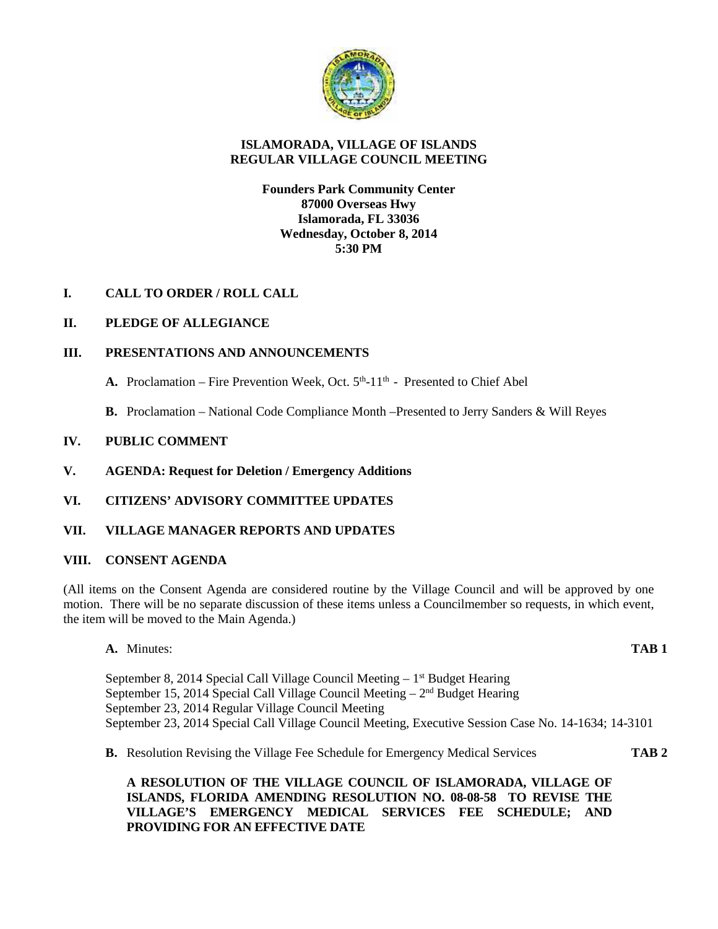

# **ISLAMORADA, VILLAGE OF ISLANDS REGULAR VILLAGE COUNCIL MEETING**

# **Founders Park Community Center 87000 Overseas Hwy Islamorada, FL 33036 Wednesday, October 8, 2014 5:30 PM**

# **I. CALL TO ORDER / ROLL CALL**

# **II. PLEDGE OF ALLEGIANCE**

# **III. PRESENTATIONS AND ANNOUNCEMENTS**

- A. Proclamation Fire Prevention Week, Oct. 5<sup>th</sup>-11<sup>th</sup> Presented to Chief Abel
- **B.** Proclamation National Code Compliance Month –Presented to Jerry Sanders & Will Reyes

# **IV. PUBLIC COMMENT**

**V. AGENDA: Request for Deletion / Emergency Additions**

# **VI. CITIZENS' ADVISORY COMMITTEE UPDATES**

# **VII. VILLAGE MANAGER REPORTS AND UPDATES**

# **VIII. CONSENT AGENDA**

(All items on the Consent Agenda are considered routine by the Village Council and will be approved by one motion. There will be no separate discussion of these items unless a Councilmember so requests, in which event, the item will be moved to the Main Agenda.)

**A.** Minutes: **TAB 1**

September 8, 2014 Special Call Village Council Meeting – 1 st Budget Hearing September 15, 2014 Special Call Village Council Meeting – 2<sup>nd</sup> Budget Hearing September 23, 2014 Regular Village Council Meeting September 23, 2014 Special Call Village Council Meeting, Executive Session Case No. 14-1634; 14-3101

**B.** Resolution Revising the Village Fee Schedule for Emergency Medical Services **TAB 2**

# **A RESOLUTION OF THE VILLAGE COUNCIL OF ISLAMORADA, VILLAGE OF ISLANDS, FLORIDA AMENDING RESOLUTION NO. 08-08-58 TO REVISE THE VILLAGE'S EMERGENCY MEDICAL SERVICES FEE SCHEDULE; AND PROVIDING FOR AN EFFECTIVE DATE**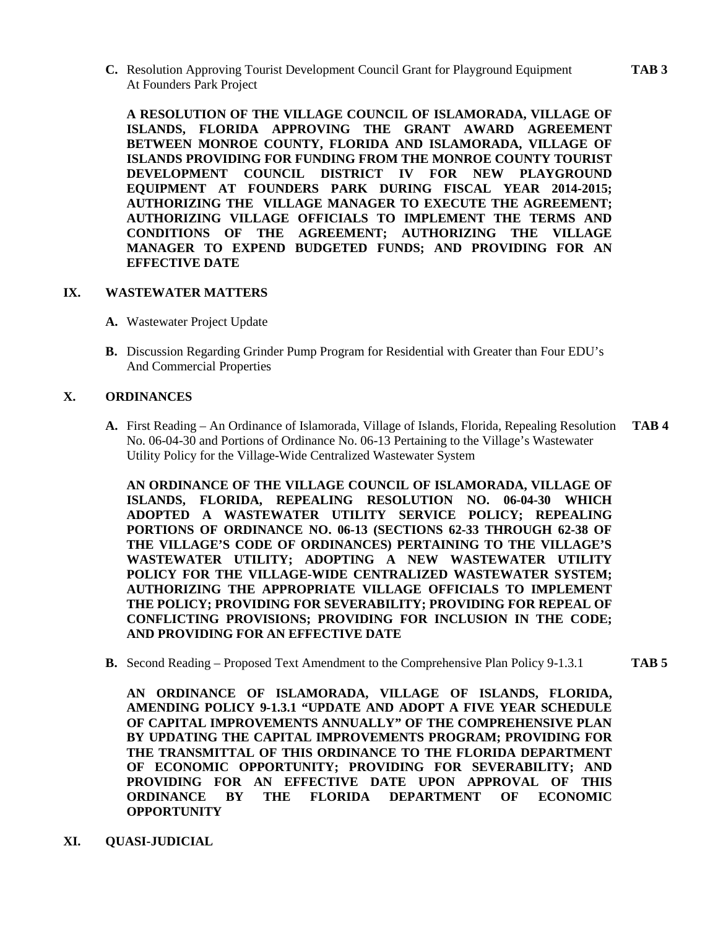**C.** Resolution Approving Tourist Development Council Grant for Playground Equipment **TAB 3** At Founders Park Project

**A RESOLUTION OF THE VILLAGE COUNCIL OF ISLAMORADA, VILLAGE OF ISLANDS, FLORIDA APPROVING THE GRANT AWARD AGREEMENT BETWEEN MONROE COUNTY, FLORIDA AND ISLAMORADA, VILLAGE OF ISLANDS PROVIDING FOR FUNDING FROM THE MONROE COUNTY TOURIST DEVELOPMENT COUNCIL DISTRICT IV FOR NEW PLAYGROUND EQUIPMENT AT FOUNDERS PARK DURING FISCAL YEAR 2014-2015; AUTHORIZING THE VILLAGE MANAGER TO EXECUTE THE AGREEMENT; AUTHORIZING VILLAGE OFFICIALS TO IMPLEMENT THE TERMS AND CONDITIONS OF THE AGREEMENT; AUTHORIZING THE VILLAGE MANAGER TO EXPEND BUDGETED FUNDS; AND PROVIDING FOR AN EFFECTIVE DATE**

#### **IX. WASTEWATER MATTERS**

- **A.** Wastewater Project Update
- **B.** Discussion Regarding Grinder Pump Program for Residential with Greater than Four EDU's And Commercial Properties

# **X. ORDINANCES**

**A.** First Reading – An Ordinance of Islamorada, Village of Islands, Florida, Repealing Resolution **TAB 4** No. 06-04-30 and Portions of Ordinance No. 06-13 Pertaining to the Village's Wastewater Utility Policy for the Village-Wide Centralized Wastewater System

**AN ORDINANCE OF THE VILLAGE COUNCIL OF ISLAMORADA, VILLAGE OF ISLANDS, FLORIDA, REPEALING RESOLUTION NO. 06-04-30 WHICH ADOPTED A WASTEWATER UTILITY SERVICE POLICY; REPEALING PORTIONS OF ORDINANCE NO. 06-13 (SECTIONS 62-33 THROUGH 62-38 OF THE VILLAGE'S CODE OF ORDINANCES) PERTAINING TO THE VILLAGE'S WASTEWATER UTILITY; ADOPTING A NEW WASTEWATER UTILITY POLICY FOR THE VILLAGE-WIDE CENTRALIZED WASTEWATER SYSTEM; AUTHORIZING THE APPROPRIATE VILLAGE OFFICIALS TO IMPLEMENT THE POLICY; PROVIDING FOR SEVERABILITY; PROVIDING FOR REPEAL OF CONFLICTING PROVISIONS; PROVIDING FOR INCLUSION IN THE CODE; AND PROVIDING FOR AN EFFECTIVE DATE**

**B.** Second Reading – Proposed Text Amendment to the Comprehensive Plan Policy 9-1.3.1 **TAB 5**

**AN ORDINANCE OF ISLAMORADA, VILLAGE OF ISLANDS, FLORIDA, AMENDING POLICY 9-1.3.1 "UPDATE AND ADOPT A FIVE YEAR SCHEDULE OF CAPITAL IMPROVEMENTS ANNUALLY" OF THE COMPREHENSIVE PLAN BY UPDATING THE CAPITAL IMPROVEMENTS PROGRAM; PROVIDING FOR THE TRANSMITTAL OF THIS ORDINANCE TO THE FLORIDA DEPARTMENT OF ECONOMIC OPPORTUNITY; PROVIDING FOR SEVERABILITY; AND PROVIDING FOR AN EFFECTIVE DATE UPON APPROVAL OF THIS ORDINANCE BY THE FLORIDA DEPARTMENT OF ECONOMIC OPPORTUNITY**

**XI. QUASI-JUDICIAL**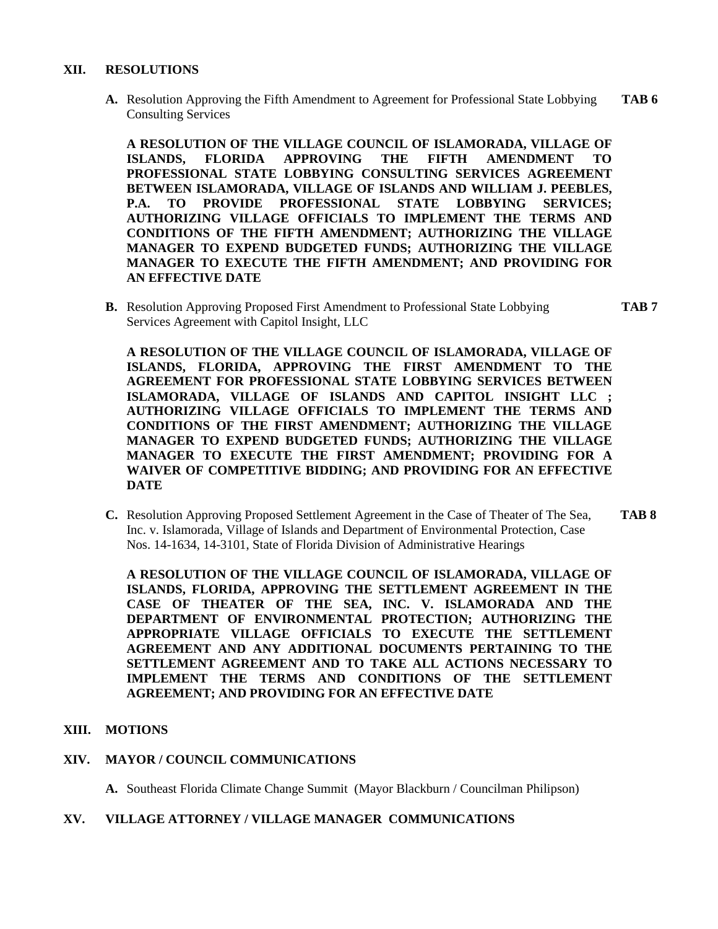#### **XII. RESOLUTIONS**

**A.** Resolution Approving the Fifth Amendment to Agreement for Professional State Lobbying **TAB 6** Consulting Services

**A RESOLUTION OF THE VILLAGE COUNCIL OF ISLAMORADA, VILLAGE OF ISLANDS, FLORIDA APPROVING THE FIFTH AMENDMENT TO PROFESSIONAL STATE LOBBYING CONSULTING SERVICES AGREEMENT BETWEEN ISLAMORADA, VILLAGE OF ISLANDS AND WILLIAM J. PEEBLES, P.A. TO PROVIDE PROFESSIONAL STATE LOBBYING SERVICES; AUTHORIZING VILLAGE OFFICIALS TO IMPLEMENT THE TERMS AND CONDITIONS OF THE FIFTH AMENDMENT; AUTHORIZING THE VILLAGE MANAGER TO EXPEND BUDGETED FUNDS; AUTHORIZING THE VILLAGE MANAGER TO EXECUTE THE FIFTH AMENDMENT; AND PROVIDING FOR AN EFFECTIVE DATE**

**B.** Resolution Approving Proposed First Amendment to Professional State Lobbying **TAB 7** Services Agreement with Capitol Insight, LLC

**A RESOLUTION OF THE VILLAGE COUNCIL OF ISLAMORADA, VILLAGE OF ISLANDS, FLORIDA, APPROVING THE FIRST AMENDMENT TO THE AGREEMENT FOR PROFESSIONAL STATE LOBBYING SERVICES BETWEEN ISLAMORADA, VILLAGE OF ISLANDS AND CAPITOL INSIGHT LLC ; AUTHORIZING VILLAGE OFFICIALS TO IMPLEMENT THE TERMS AND CONDITIONS OF THE FIRST AMENDMENT; AUTHORIZING THE VILLAGE MANAGER TO EXPEND BUDGETED FUNDS; AUTHORIZING THE VILLAGE MANAGER TO EXECUTE THE FIRST AMENDMENT; PROVIDING FOR A WAIVER OF COMPETITIVE BIDDING; AND PROVIDING FOR AN EFFECTIVE DATE**

**C.** Resolution Approving Proposed Settlement Agreement in the Case of Theater of The Sea, **TAB 8** Inc. v. Islamorada, Village of Islands and Department of Environmental Protection, Case Nos. 14-1634, 14-3101, State of Florida Division of Administrative Hearings

**A RESOLUTION OF THE VILLAGE COUNCIL OF ISLAMORADA, VILLAGE OF ISLANDS, FLORIDA, APPROVING THE SETTLEMENT AGREEMENT IN THE CASE OF THEATER OF THE SEA, INC. V. ISLAMORADA AND THE DEPARTMENT OF ENVIRONMENTAL PROTECTION; AUTHORIZING THE APPROPRIATE VILLAGE OFFICIALS TO EXECUTE THE SETTLEMENT AGREEMENT AND ANY ADDITIONAL DOCUMENTS PERTAINING TO THE SETTLEMENT AGREEMENT AND TO TAKE ALL ACTIONS NECESSARY TO IMPLEMENT THE TERMS AND CONDITIONS OF THE SETTLEMENT AGREEMENT; AND PROVIDING FOR AN EFFECTIVE DATE**

# **XIII. MOTIONS**

# **XIV. MAYOR / COUNCIL COMMUNICATIONS**

**A.** Southeast Florida Climate Change Summit (Mayor Blackburn / Councilman Philipson)

**XV. VILLAGE ATTORNEY / VILLAGE MANAGER COMMUNICATIONS**